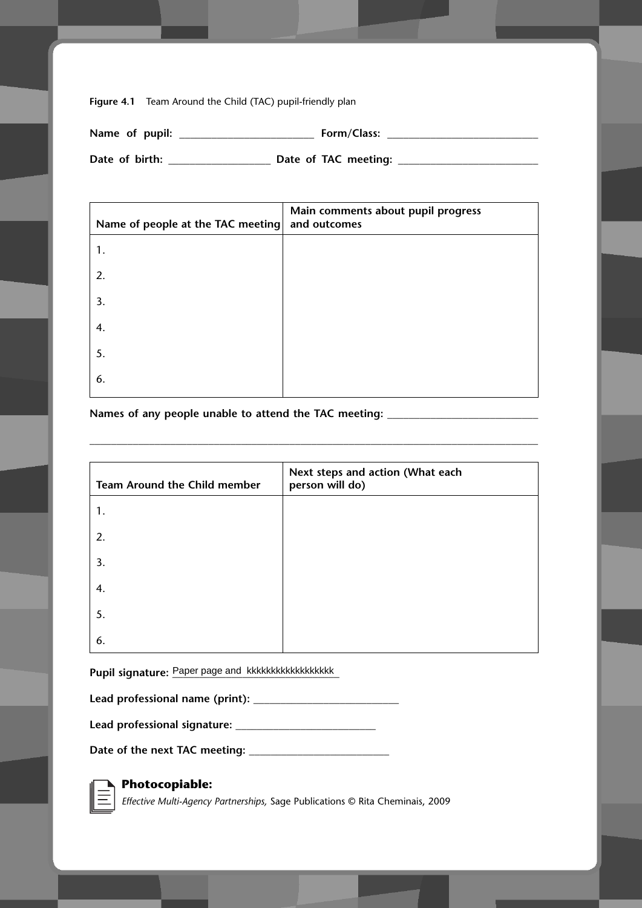**Figure 4.1** Team Around the Child (TAC) pupil-friendly plan

| Name of pupil: | Form/Class:          |
|----------------|----------------------|
| Date of birth: | Date of TAC meeting: |

| Name of people at the TAC meeting | Main comments about pupil progress<br>and outcomes |
|-----------------------------------|----------------------------------------------------|
| 1.                                |                                                    |
| 2.                                |                                                    |
| 3.                                |                                                    |
| 4.                                |                                                    |
| 5.                                |                                                    |
| 6.                                |                                                    |

**Names of any people unable to attend the TAC meeting: \_\_\_\_\_\_\_\_\_\_\_\_\_\_\_\_\_\_\_\_\_\_\_\_\_\_\_\_**

| Team Around the Child member | Next steps and action (What each<br>person will do) |
|------------------------------|-----------------------------------------------------|
| 1.                           |                                                     |
| 2.                           |                                                     |
| 3.                           |                                                     |
| 4.                           |                                                     |
| 5.                           |                                                     |
| 6.                           |                                                     |

**\_\_\_\_\_\_\_\_\_\_\_\_\_\_\_\_\_\_\_\_\_\_\_\_\_\_\_\_\_\_\_\_\_\_\_\_\_\_\_\_\_\_\_\_\_\_\_\_\_\_\_\_\_\_\_\_\_\_\_\_\_\_\_\_\_\_\_\_\_\_\_\_\_\_\_\_\_\_\_\_\_\_\_**

**Pupil signature: \_\_\_\_\_\_\_\_\_\_\_\_\_\_\_\_\_\_\_\_\_\_\_\_\_\_\_\_\_\_\_** Paper page and kkkkkkkkkkkkkkkkkk

| Lead professional name (print): |  |  |
|---------------------------------|--|--|
|---------------------------------|--|--|

**Lead professional signature: \_\_\_\_\_\_\_\_\_\_\_\_\_\_\_\_\_\_\_\_\_\_\_\_\_\_**

**Date of the next TAC meeting: \_\_\_\_\_\_\_\_\_\_\_\_\_\_\_\_\_\_\_\_\_\_\_\_\_\_**



## **Photocopiable:**

*Effective Multi-Agency Partnerships,* Sage Publications © Rita Cheminais, 2009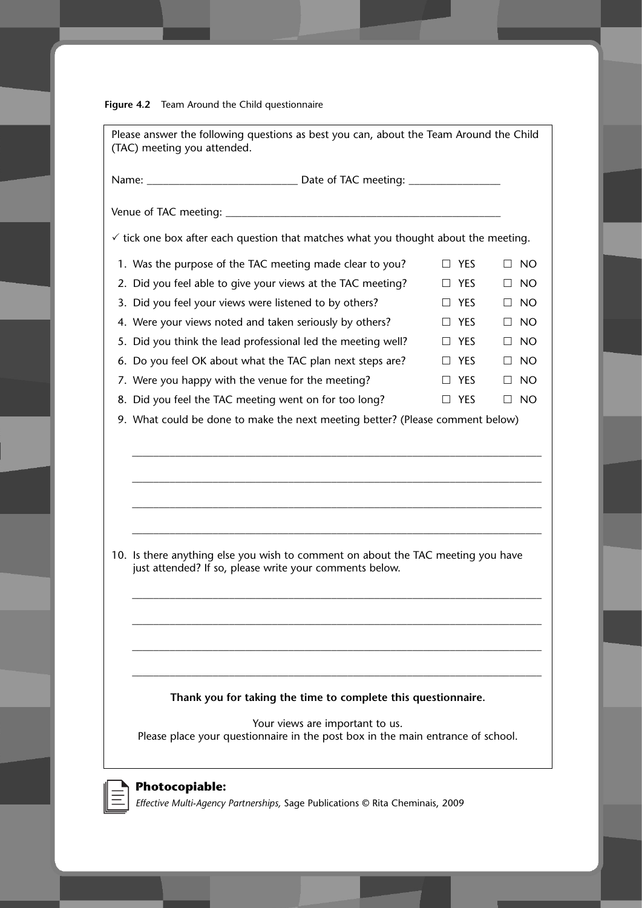**Figure 4.2** Team Around the Child questionnaire

| Please answer the following questions as best you can, about the Team Around the Child<br>(TAC) meeting you attended.                                                               |         |            |           |
|-------------------------------------------------------------------------------------------------------------------------------------------------------------------------------------|---------|------------|-----------|
|                                                                                                                                                                                     |         |            |           |
|                                                                                                                                                                                     |         |            |           |
| $\checkmark$ tick one box after each question that matches what you thought about the meeting.                                                                                      |         |            |           |
| 1. Was the purpose of the TAC meeting made clear to you?                                                                                                                            |         | $\Box$ YES | $\Box$ NO |
| 2. Did you feel able to give your views at the TAC meeting?                                                                                                                         |         | $\Box$ YES | $\Box$ NO |
| 3. Did you feel your views were listened to by others?                                                                                                                              |         | $\Box$ YES | $\Box$ NO |
| 4. Were your views noted and taken seriously by others?                                                                                                                             |         | $\Box$ YES | $\Box$ NO |
| 5. Did you think the lead professional led the meeting well?                                                                                                                        |         | $\Box$ YES | $\Box$ NO |
| 6. Do you feel OK about what the TAC plan next steps are?                                                                                                                           | $\perp$ | YES        | $\Box$ NO |
| 7. Were you happy with the venue for the meeting?                                                                                                                                   |         | $\Box$ YES | $\Box$ NO |
| 8. Did you feel the TAC meeting went on for too long?                                                                                                                               |         | $\Box$ YES | $\Box$ NO |
| 9. What could be done to make the next meeting better? (Please comment below)                                                                                                       |         |            |           |
| 10. Is there anything else you wish to comment on about the TAC meeting you have<br>just attended? If so, please write your comments below.                                         |         |            |           |
| Thank you for taking the time to complete this questionnaire.<br>Your views are important to us.<br>Please place your questionnaire in the post box in the main entrance of school. |         |            |           |
| <b>Photocopiable:</b><br>Effective Multi-Agency Partnerships, Sage Publications © Rita Cheminais, 2009                                                                              |         |            |           |